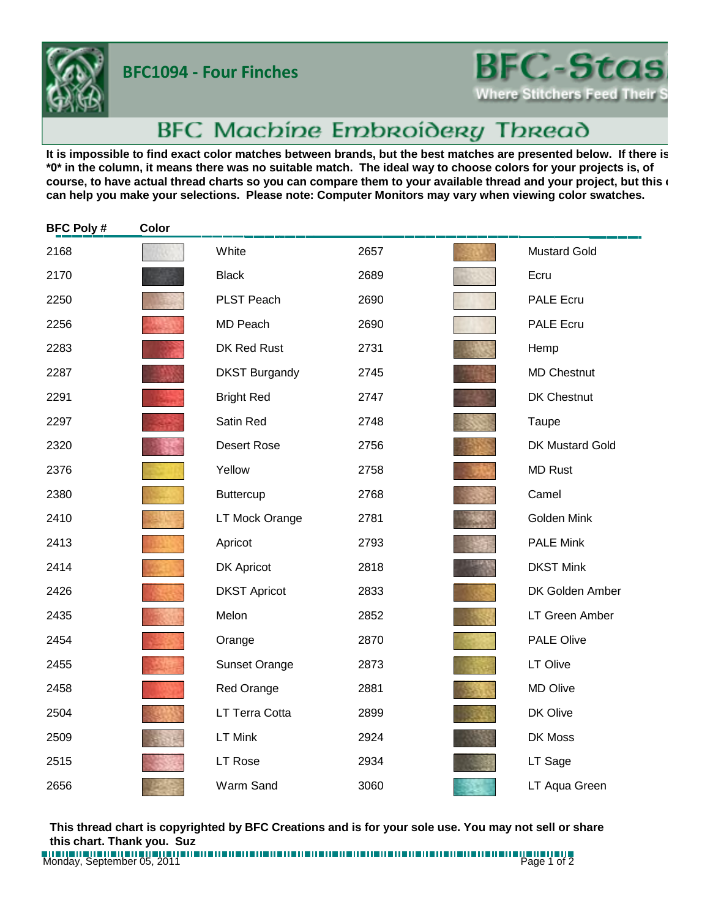**BFC1094 - Four Finches**



## BFC Machine Embroidery Thread

It is impossible to find exact color matches between brands, but the best matches are presented below. If there is **\*0\* in the column, it means there was no suitable match. The ideal way to choose colors for your projects is, of**  course, to have actual thread charts so you can compare them to your available thread and your project, but this **c can help you make your selections. Please note: Computer Monitors may vary when viewing color swatches.**

| <b>BFC Poly#</b> | Color |                      |      |                        |
|------------------|-------|----------------------|------|------------------------|
| 2168             |       | White                | 2657 | <b>Mustard Gold</b>    |
| 2170             |       | <b>Black</b>         | 2689 | Ecru                   |
| 2250             |       | PLST Peach           | 2690 | <b>PALE Ecru</b>       |
| 2256             |       | <b>MD Peach</b>      | 2690 | <b>PALE Ecru</b>       |
| 2283             |       | DK Red Rust          | 2731 | Hemp                   |
| 2287             |       | <b>DKST Burgandy</b> | 2745 | <b>MD Chestnut</b>     |
| 2291             |       | <b>Bright Red</b>    | 2747 | DK Chestnut            |
| 2297             |       | Satin Red            | 2748 | Taupe                  |
| 2320             |       | <b>Desert Rose</b>   | 2756 | <b>DK Mustard Gold</b> |
| 2376             |       | Yellow               | 2758 | <b>MD Rust</b>         |
| 2380             |       | <b>Buttercup</b>     | 2768 | Camel                  |
| 2410             |       | LT Mock Orange       | 2781 | Golden Mink            |
| 2413             |       | Apricot              | 2793 | <b>PALE Mink</b>       |
| 2414             |       | <b>DK Apricot</b>    | 2818 | <b>DKST Mink</b>       |
| 2426             |       | <b>DKST Apricot</b>  | 2833 | DK Golden Amber        |
| 2435             |       | Melon                | 2852 | LT Green Amber         |
| 2454             |       | Orange               | 2870 | PALE Olive             |
| 2455             |       | <b>Sunset Orange</b> | 2873 | LT Olive               |
| 2458             |       | Red Orange           | 2881 | <b>MD Olive</b>        |
| 2504             |       | LT Terra Cotta       | 2899 | DK Olive               |
| 2509             |       | <b>LT Mink</b>       | 2924 | DK Moss                |
| 2515             |       | LT Rose              | 2934 | LT Sage                |
| 2656             |       | Warm Sand            | 3060 | LT Aqua Green          |

**This thread chart is copyrighted by BFC Creations and is for your sole use. You may not sell or share this chart. Thank you. Suz**